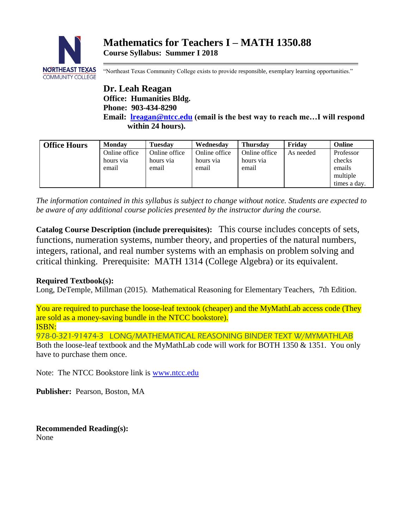

"Northeast Texas Community College exists to provide responsible, exemplary learning opportunities."

**Dr. Leah Reagan Office: Humanities Bldg. Phone: 903-434-8290 Email: [lreagan@ntcc.edu](mailto:lreagan@ntcc.edu) (email is the best way to reach me…I will respond within 24 hours).**

| <b>Office Hours</b> | <b>Monday</b> | <b>Tuesdav</b> | Wednesday     | <b>Thursday</b> | Fridav    | Online       |
|---------------------|---------------|----------------|---------------|-----------------|-----------|--------------|
|                     | Online office | Online office  | Online office | Online office   | As needed | Professor    |
|                     | hours via     | hours via      | hours via     | hours via       |           | checks       |
|                     | email         | email          | email         | email           |           | emails       |
|                     |               |                |               |                 |           | multiple     |
|                     |               |                |               |                 |           | times a day. |

*The information contained in this syllabus is subject to change without notice. Students are expected to be aware of any additional course policies presented by the instructor during the course.*

**Catalog Course Description (include prerequisites):** This course includes concepts of sets, functions, numeration systems, number theory, and properties of the natural numbers, integers, rational, and real number systems with an emphasis on problem solving and critical thinking. Prerequisite: MATH 1314 (College Algebra) or its equivalent.

## **Required Textbook(s):**

Long, DeTemple, Millman (2015). Mathematical Reasoning for Elementary Teachers, 7th Edition.

You are required to purchase the loose-leaf textook (cheaper) and the MyMathLab access code (They are sold as a money-saving bundle in the NTCC bookstore). ISBN:

978-0-321-91474-3 LONG/MATHEMATICAL REASONING BINDER TEXT W/MYMATHLAB Both the loose-leaf textbook and the MyMathLab code will work for BOTH 1350 & 1351. You only have to purchase them once.

Note: The NTCC Bookstore link is [www.ntcc.edu](http://www.ntcc.edu/)

**Publisher:** Pearson, Boston, MA

**Recommended Reading(s):** None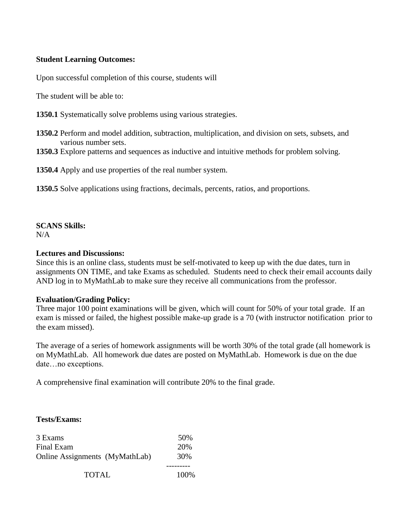#### **Student Learning Outcomes:**

Upon successful completion of this course, students will

The student will be able to:

**1350.1** Systematically solve problems using various strategies.

- **1350.2** Perform and model addition, subtraction, multiplication, and division on sets, subsets, and various number sets.
- **1350.3** Explore patterns and sequences as inductive and intuitive methods for problem solving.

**1350.4** Apply and use properties of the real number system.

**1350.5** Solve applications using fractions, decimals, percents, ratios, and proportions.

# **SCANS Skills:**

 $N/A$ 

#### **Lectures and Discussions:**

Since this is an online class, students must be self-motivated to keep up with the due dates, turn in assignments ON TIME, and take Exams as scheduled. Students need to check their email accounts daily AND log in to MyMathLab to make sure they receive all communications from the professor.

## **Evaluation/Grading Policy:**

Three major 100 point examinations will be given, which will count for 50% of your total grade. If an exam is missed or failed, the highest possible make-up grade is a 70 (with instructor notification prior to the exam missed).

The average of a series of homework assignments will be worth 30% of the total grade (all homework is on MyMathLab. All homework due dates are posted on MyMathLab. Homework is due on the due date…no exceptions.

A comprehensive final examination will contribute 20% to the final grade.

#### **Tests/Exams:**

| 3 Exams<br>Final Exam          | 50%<br>20% |
|--------------------------------|------------|
| Online Assignments (MyMathLab) | 30%        |
| <b>TOTAL</b>                   | 100\%      |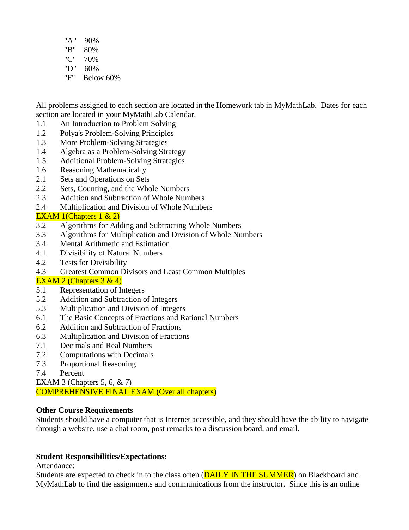"A" 90% "B" 80% "C" 70% "D" 60% "F" Below 60%

All problems assigned to each section are located in the Homework tab in MyMathLab. Dates for each section are located in your MyMathLab Calendar.

- 1.1 An Introduction to Problem Solving
- 1.2 Polya's Problem-Solving Principles
- 1.3 More Problem-Solving Strategies
- 1.4 Algebra as a Problem-Solving Strategy
- 1.5 Additional Problem-Solving Strategies
- 1.6 Reasoning Mathematically
- 2.1 Sets and Operations on Sets
- 2.2 Sets, Counting, and the Whole Numbers
- 2.3 Addition and Subtraction of Whole Numbers
- 2.4 Multiplication and Division of Whole Numbers

#### EXAM 1(Chapters 1 & 2)

- 3.2 Algorithms for Adding and Subtracting Whole Numbers
- 3.3 Algorithms for Multiplication and Division of Whole Numbers
- 3.4 Mental Arithmetic and Estimation
- 4.1 Divisibility of Natural Numbers
- 4.2 Tests for Divisibility
- 4.3 Greatest Common Divisors and Least Common Multiples

#### EXAM 2 (Chapters  $3 & 4$ )

- 5.1 Representation of Integers
- 5.2 Addition and Subtraction of Integers
- 5.3 Multiplication and Division of Integers
- 6.1 The Basic Concepts of Fractions and Rational Numbers
- 6.2 Addition and Subtraction of Fractions
- 6.3 Multiplication and Division of Fractions
- 7.1 Decimals and Real Numbers
- 7.2 Computations with Decimals
- 7.3 Proportional Reasoning
- 7.4 Percent

EXAM 3 (Chapters 5, 6, & 7)

COMPREHENSIVE FINAL EXAM (Over all chapters)

#### **Other Course Requirements**

Students should have a computer that is Internet accessible, and they should have the ability to navigate through a website, use a chat room, post remarks to a discussion board, and email.

#### **Student Responsibilities/Expectations:**

Attendance:

Students are expected to check in to the class often (**DAILY IN THE SUMMER**) on Blackboard and MyMathLab to find the assignments and communications from the instructor. Since this is an online